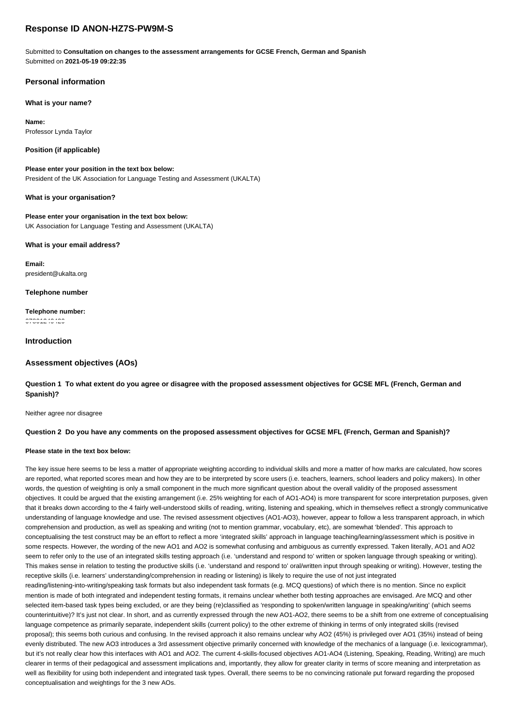# **Response ID ANON-HZ7S-PW9M-S**

Submitted to **Consultation on changes to the assessment arrangements for GCSE French, German and Spanish** Submitted on **2021-05-19 09:22:35**

# **Personal information**

## **What is your name?**

**Name:** Professor Lynda Taylor

## **Position (if applicable)**

**Please enter your position in the text box below:** President of the UK Association for Language Testing and Assessment (UKALTA)

## **What is your organisation?**

**Please enter your organisation in the text box below:** UK Association for Language Testing and Assessment (UKALTA)

### **What is your email address?**

**Email:** president@ukalta.org

### **Telephone number**

**Telephone number:** 07801249429

## **Introduction**

## **Assessment objectives (AOs)**

**Question 1 To what extent do you agree or disagree with the proposed assessment objectives for GCSE MFL (French, German and Spanish)?**

Neither agree nor disagree

## **Question 2 Do you have any comments on the proposed assessment objectives for GCSE MFL (French, German and Spanish)?**

## **Please state in the text box below:**

The key issue here seems to be less a matter of appropriate weighting according to individual skills and more a matter of how marks are calculated, how scores are reported, what reported scores mean and how they are to be interpreted by score users (i.e. teachers, learners, school leaders and policy makers). In other words, the question of weighting is only a small component in the much more significant question about the overall validity of the proposed assessment objectives. It could be argued that the existing arrangement (i.e. 25% weighting for each of AO1-AO4) is more transparent for score interpretation purposes, given that it breaks down according to the 4 fairly well-understood skills of reading, writing, listening and speaking, which in themselves reflect a strongly communicative understanding of language knowledge and use. The revised assessment objectives (AO1-AO3), however, appear to follow a less transparent approach, in which comprehension and production, as well as speaking and writing (not to mention grammar, vocabulary, etc), are somewhat 'blended'. This approach to conceptualising the test construct may be an effort to reflect a more 'integrated skills' approach in language teaching/learning/assessment which is positive in some respects. However, the wording of the new AO1 and AO2 is somewhat confusing and ambiguous as currently expressed. Taken literally, AO1 and AO2 seem to refer only to the use of an integrated skills testing approach (i.e. 'understand and respond to' written or spoken language through speaking or writing). This makes sense in relation to testing the productive skills (i.e. 'understand and respond to' oral/written input through speaking or writing). However, testing the receptive skills (i.e. learners' understanding/comprehension in reading or listening) is likely to require the use of not just integrated reading/listening-into-writing/speaking task formats but also independent task formats (e.g. MCQ questions) of which there is no mention. Since no explicit mention is made of both integrated and independent testing formats, it remains unclear whether both testing approaches are envisaged. Are MCQ and other selected item-based task types being excluded, or are they being (re)classified as 'responding to spoken/written language in speaking/writing' (which seems counterintuitive)? It's just not clear. In short, and as currently expressed through the new AO1-AO2, there seems to be a shift from one extreme of conceptualising language competence as primarily separate, independent skills (current policy) to the other extreme of thinking in terms of only integrated skills (revised proposal); this seems both curious and confusing. In the revised approach it also remains unclear why AO2 (45%) is privileged over AO1 (35%) instead of being evenly distributed. The new AO3 introduces a 3rd assessment objective primarily concerned with knowledge of the mechanics of a language (i.e. lexicogrammar), but it's not really clear how this interfaces with AO1 and AO2. The current 4-skills-focused objectives AO1-AO4 (Listening, Speaking, Reading, Writing) are much clearer in terms of their pedagogical and assessment implications and, importantly, they allow for greater clarity in terms of score meaning and interpretation as well as flexibility for using both independent and integrated task types. Overall, there seems to be no convincing rationale put forward regarding the proposed conceptualisation and weightings for the 3 new AOs.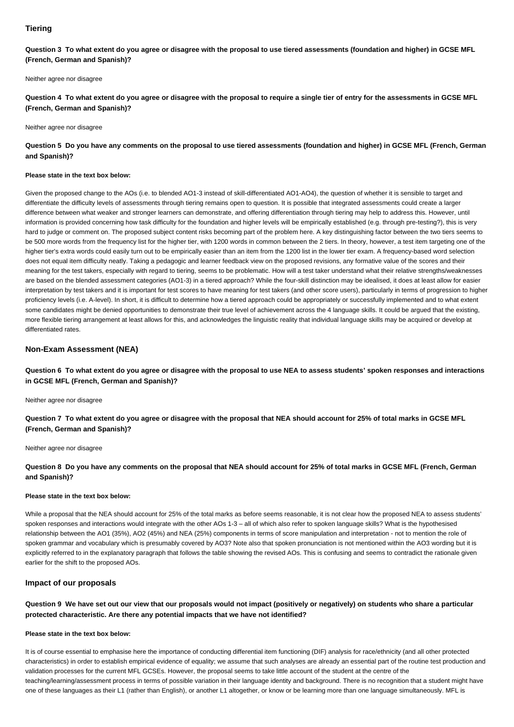## **Tiering**

**Question 3 To what extent do you agree or disagree with the proposal to use tiered assessments (foundation and higher) in GCSE MFL (French, German and Spanish)?**

Neither agree nor disagree

**Question 4 To what extent do you agree or disagree with the proposal to require a single tier of entry for the assessments in GCSE MFL (French, German and Spanish)?**

#### Neither agree nor disagree

## **Question 5 Do you have any comments on the proposal to use tiered assessments (foundation and higher) in GCSE MFL (French, German and Spanish)?**

## **Please state in the text box below:**

Given the proposed change to the AOs (i.e. to blended AO1-3 instead of skill-differentiated AO1-AO4), the question of whether it is sensible to target and differentiate the difficulty levels of assessments through tiering remains open to question. It is possible that integrated assessments could create a larger difference between what weaker and stronger learners can demonstrate, and offering differentiation through tiering may help to address this. However, until information is provided concerning how task difficulty for the foundation and higher levels will be empirically established (e.g. through pre-testing?), this is very hard to judge or comment on. The proposed subject content risks becoming part of the problem here. A key distinguishing factor between the two tiers seems to be 500 more words from the frequency list for the higher tier, with 1200 words in common between the 2 tiers. In theory, however, a test item targeting one of the higher tier's extra words could easily turn out to be empirically easier than an item from the 1200 list in the lower tier exam. A frequency-based word selection does not equal item difficulty neatly. Taking a pedagogic and learner feedback view on the proposed revisions, any formative value of the scores and their meaning for the test takers, especially with regard to tiering, seems to be problematic. How will a test taker understand what their relative strengths/weaknesses are based on the blended assessment categories (AO1-3) in a tiered approach? While the four-skill distinction may be idealised, it does at least allow for easier interpretation by test takers and it is important for test scores to have meaning for test takers (and other score users), particularly in terms of progression to higher proficiency levels (i.e. A-level). In short, it is difficult to determine how a tiered approach could be appropriately or successfully implemented and to what extent some candidates might be denied opportunities to demonstrate their true level of achievement across the 4 language skills. It could be argued that the existing, more flexible tiering arrangement at least allows for this, and acknowledges the linguistic reality that individual language skills may be acquired or develop at differentiated rates.

## **Non-Exam Assessment (NEA)**

**Question 6 To what extent do you agree or disagree with the proposal to use NEA to assess students' spoken responses and interactions in GCSE MFL (French, German and Spanish)?**

## Neither agree nor disagree

**Question 7 To what extent do you agree or disagree with the proposal that NEA should account for 25% of total marks in GCSE MFL (French, German and Spanish)?**

### Neither agree nor disagree

**Question 8 Do you have any comments on the proposal that NEA should account for 25% of total marks in GCSE MFL (French, German and Spanish)?**

#### **Please state in the text box below:**

While a proposal that the NEA should account for 25% of the total marks as before seems reasonable, it is not clear how the proposed NEA to assess students' spoken responses and interactions would integrate with the other AOs 1-3 – all of which also refer to spoken language skills? What is the hypothesised relationship between the AO1 (35%), AO2 (45%) and NEA (25%) components in terms of score manipulation and interpretation - not to mention the role of spoken grammar and vocabulary which is presumably covered by AO3? Note also that spoken pronunciation is not mentioned within the AO3 wording but it is explicitly referred to in the explanatory paragraph that follows the table showing the revised AOs. This is confusing and seems to contradict the rationale given earlier for the shift to the proposed AOs.

#### **Impact of our proposals**

## **Question 9 We have set out our view that our proposals would not impact (positively or negatively) on students who share a particular protected characteristic. Are there any potential impacts that we have not identified?**

#### **Please state in the text box below:**

It is of course essential to emphasise here the importance of conducting differential item functioning (DIF) analysis for race/ethnicity (and all other protected characteristics) in order to establish empirical evidence of equality; we assume that such analyses are already an essential part of the routine test production and validation processes for the current MFL GCSEs. However, the proposal seems to take little account of the student at the centre of the teaching/learning/assessment process in terms of possible variation in their language identity and background. There is no recognition that a student might have one of these languages as their L1 (rather than English), or another L1 altogether, or know or be learning more than one language simultaneously. MFL is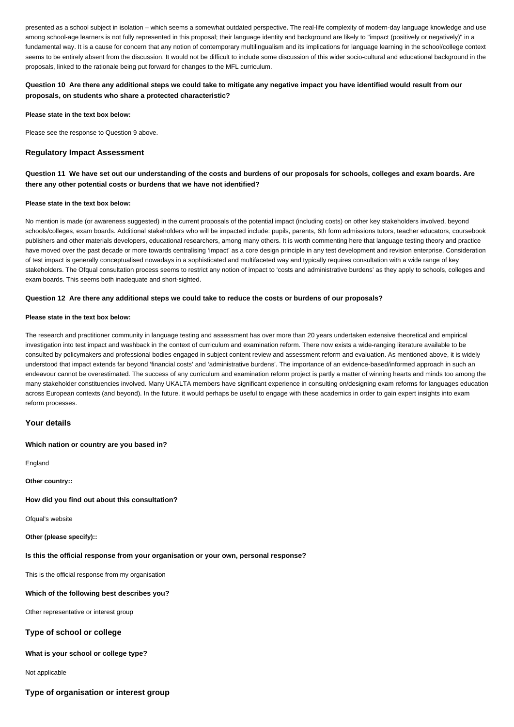presented as a school subject in isolation – which seems a somewhat outdated perspective. The real-life complexity of modern-day language knowledge and use among school-age learners is not fully represented in this proposal; their language identity and background are likely to "impact (positively or negatively)" in a fundamental way. It is a cause for concern that any notion of contemporary multilingualism and its implications for language learning in the school/college context seems to be entirely absent from the discussion. It would not be difficult to include some discussion of this wider socio-cultural and educational background in the proposals, linked to the rationale being put forward for changes to the MFL curriculum.

## **Question 10 Are there any additional steps we could take to mitigate any negative impact you have identified would result from our proposals, on students who share a protected characteristic?**

**Please state in the text box below:**

Please see the response to Question 9 above.

## **Regulatory Impact Assessment**

## **Question 11 We have set out our understanding of the costs and burdens of our proposals for schools, colleges and exam boards. Are there any other potential costs or burdens that we have not identified?**

### **Please state in the text box below:**

No mention is made (or awareness suggested) in the current proposals of the potential impact (including costs) on other key stakeholders involved, beyond schools/colleges, exam boards. Additional stakeholders who will be impacted include: pupils, parents, 6th form admissions tutors, teacher educators, coursebook publishers and other materials developers, educational researchers, among many others. It is worth commenting here that language testing theory and practice have moved over the past decade or more towards centralising 'impact' as a core design principle in any test development and revision enterprise. Consideration of test impact is generally conceptualised nowadays in a sophisticated and multifaceted way and typically requires consultation with a wide range of key stakeholders. The Ofqual consultation process seems to restrict any notion of impact to 'costs and administrative burdens' as they apply to schools, colleges and exam boards. This seems both inadequate and short-sighted.

### **Question 12 Are there any additional steps we could take to reduce the costs or burdens of our proposals?**

#### **Please state in the text box below:**

The research and practitioner community in language testing and assessment has over more than 20 years undertaken extensive theoretical and empirical investigation into test impact and washback in the context of curriculum and examination reform. There now exists a wide-ranging literature available to be consulted by policymakers and professional bodies engaged in subject content review and assessment reform and evaluation. As mentioned above, it is widely understood that impact extends far beyond 'financial costs' and 'administrative burdens'. The importance of an evidence-based/informed approach in such an endeavour cannot be overestimated. The success of any curriculum and examination reform project is partly a matter of winning hearts and minds too among the many stakeholder constituencies involved. Many UKALTA members have significant experience in consulting on/designing exam reforms for languages education across European contexts (and beyond). In the future, it would perhaps be useful to engage with these academics in order to gain expert insights into exam reform processes.

#### **Your details**

### **Which nation or country are you based in?**

**England** 

**Other country::**

#### **How did you find out about this consultation?**

Ofqual's website

**Other (please specify)::**

### **Is this the official response from your organisation or your own, personal response?**

This is the official response from my organisation

## **Which of the following best describes you?**

Other representative or interest group

## **Type of school or college**

## **What is your school or college type?**

Not applicable

**Type of organisation or interest group**